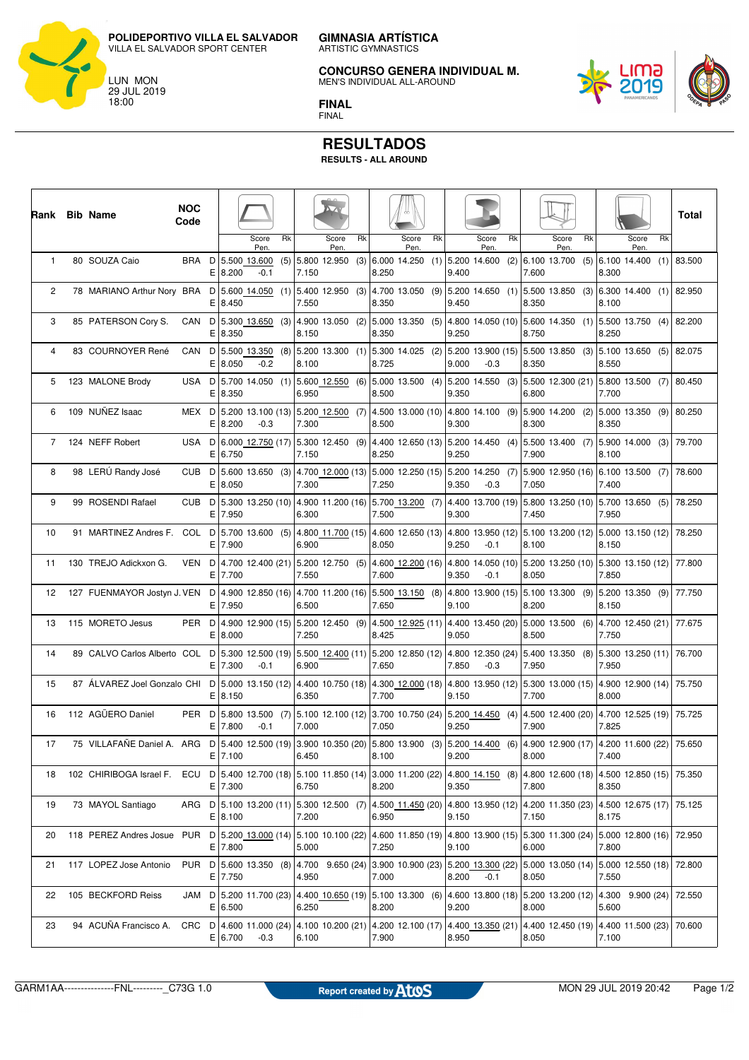**POLIDEPORTIVO VILLA EL SALVADOR** VILLA EL SALVADOR SPORT CENTER

LUN MON 29 JUL 2019 18:00



**CONCURSO GENERA INDIVIDUAL M.**

MEN'S INDIVIDUAL ALL-AROUND



**FINAL** FINAL

## **RESULTADOS**

**RESULTS - ALL AROUND**

| Rank Bib Name  |                                                                                                                                                               | <b>NOC</b><br>Code |        |                                                                                                                                                   |               |    |       |                        |    |       |                                                                                                     |    |       |                                                          |    |       |                                         |    |       |               |    | Total                           |
|----------------|---------------------------------------------------------------------------------------------------------------------------------------------------------------|--------------------|--------|---------------------------------------------------------------------------------------------------------------------------------------------------|---------------|----|-------|------------------------|----|-------|-----------------------------------------------------------------------------------------------------|----|-------|----------------------------------------------------------|----|-------|-----------------------------------------|----|-------|---------------|----|---------------------------------|
|                |                                                                                                                                                               |                    |        |                                                                                                                                                   | Score<br>Pen. | Rk |       | Score<br>Pen.          | Rk |       | Score<br>Pen.                                                                                       | Rk |       | Score<br>Pen.                                            | Rk |       | Score<br>Pen.                           | Rk |       | Score<br>Pen. | Rk |                                 |
| $\mathbf{1}$   | 80 SOUZA Caio                                                                                                                                                 | BRA D              |        | 5.500 13.600<br>E 8.200                                                                                                                           | $-0.1$        |    | 7.150 | $(5)$ 5.800 12.950 (3) |    | 8.250 | $6.000$ 14.250 (1) 5.200 14.600                                                                     |    | 9.400 |                                                          |    | 7.600 | $(2)$ 6.100 13.700 (5) 6.100 14.400 (1) |    | 8.300 |               |    | 83.500                          |
| 2              | 78 MARIANO Arthur Nory BRA D 5.600 14.050 (1) 5.400 12.950 (3)                                                                                                |                    | E.     | 8.450                                                                                                                                             |               |    | 7.550 |                        |    | 8.350 | 4.700 13.050 (9) 5.200 14.650 (1) 5.500 13.850 (3) 6.300 14.400 (1) 82.950                          |    | 9.450 |                                                          |    | 8.350 |                                         |    | 8.100 |               |    |                                 |
| 3              | 85 PATERSON Cory S.                                                                                                                                           | CAN                | Е      | $D   5.300 13.650 (3)   4.900 13.050 (2)$<br>8.350                                                                                                |               |    | 8.150 |                        |    | 8.350 | 5.000 13.350 (5) 4.800 14.050 (10) 5.600 14.350 (1)                                                 |    | 9.250 |                                                          |    | 8.750 |                                         |    | 8.250 |               |    | $ 5.500 \t13.750 \t(4) 82.200$  |
| $\overline{4}$ | 83 COURNOYER René                                                                                                                                             | CAN                | D<br>Е | $ 5.500 \t13.350 \t(8) 5.200 \t13.300 \t(1) $<br>8.050                                                                                            | $-0.2$        |    | 8.100 |                        |    | 8.725 | $ 5.300\;14.025\;$ (2) $ 5.200\;13.900\;$ (15) $ 5.500\;13.850\;$ (3) $ 5.100\;13.650\;$ (5) 82.075 |    | 9.000 | $-0.3$                                                   |    | 8.350 |                                         |    | 8.550 |               |    |                                 |
| 5              | 123 MALONE Brody                                                                                                                                              | USA D              | Е      | $ 5.700 \t14.050 \t(1) 5.600 \t12.550 \t(6) $<br>8.350                                                                                            |               |    | 6.950 |                        |    | 8.500 | 5.000 13.500 (4) 5.200 14.550 (3) 5.500 12.300 (21) 5.800 13.500 (7) 80.450                         |    | 9.350 |                                                          |    | 6.800 |                                         |    | 7.700 |               |    |                                 |
| 6              | 109 NUÑEZ Isaac                                                                                                                                               | MEX D              | Е      | 5.200 13.100 (13) 5.200 12.500 (7)<br>8.200                                                                                                       | $-0.3$        |    | 7.300 |                        |    | 8.500 | 4.500 13.000 (10) 4.800 14.100 (9) 5.900 14.200 (2)                                                 |    | 9.300 |                                                          |    | 8.300 |                                         |    | 8.350 |               |    | $ 5.000 \t13.350 \t(9)  80.250$ |
| $7^{\circ}$    | 124 NEFF Robert                                                                                                                                               | USA D              | Е      | 6.000 12.750 (17) 5.300 12.450 (9)<br>6.750                                                                                                       |               |    | 7.150 |                        |    | 8.250 | 4.400 12.650 (13) 5.200 14.450 (4) 5.500 13.400 (7) 5.900 14.000 (3) 79.700                         |    | 9.250 |                                                          |    | 7.900 |                                         |    | 8.100 |               |    |                                 |
| 8              | 98 LERÚ Randy José                                                                                                                                            |                    | Е      | CUB D 5.600 13.650 (3) 4.700 12.000 (13)<br>8.050                                                                                                 |               |    | 7.300 |                        |    | 7.250 | 5.000 12.250 (15)   5.200 14.250 (7)   5.900 12.950 (16)   6.100 13.500 (7)                         |    | 9.350 | $-0.3$                                                   |    | 7.050 |                                         |    | 7.400 |               |    | 78.600                          |
| 9              | 99 ROSENDI Rafael                                                                                                                                             | CUB <sub>D</sub>   | Е      | 5.300 13.250 (10) 4.900 11.200 (16) 5.700 13.200 (7)<br>7.950                                                                                     |               |    | 6.300 |                        |    | 7.500 |                                                                                                     |    | 9.300 | 4.400 13.700 (19)   5.800 13.250 (10)   5.700 13.650 (5) |    | 7.450 |                                         |    | 7.950 |               |    | 78.250                          |
| 10             | 91 MARTINEZ Andres F. COL D   5.700 13.600 (5)   4.800 11.700 (15)   4.600 12.650 (13)   4.800 13.950 (12)   5.100 13.200 (12)   5.000 13.150 (12)   78.250   |                    | E      | 7.900                                                                                                                                             |               |    | 6.900 |                        |    | 8.050 |                                                                                                     |    | 9.250 | $-0.1$                                                   |    | 8.100 |                                         |    | 8.150 |               |    |                                 |
| 11             | 130 TREJO Adickxon G.                                                                                                                                         | VEN                | D<br>Е | 4.700 12.400 (21) 5.200 12.750 (5)<br>7.700                                                                                                       |               |    | 7.550 |                        |    | 7.600 | 4.600 12.200 (16) 4.800 14.050 (10) 5.200 13.250 (10) 5.300 13.150 (12) 77.800                      |    | 9.350 | $-0.1$                                                   |    | 8.050 |                                         |    | 7.850 |               |    |                                 |
| 12             | 127 FUENMAYOR Jostyn J. VEN D                                                                                                                                 |                    | Е      | 4.900 12.850 (16) 4.700 11.200 (16) 5.500 13.150 (8) 4.800 13.900 (15) 5.100 13.300 (9) 5.200 13.350 (9) 77.750<br>7.950                          |               |    | 6.500 |                        |    | 7.650 |                                                                                                     |    | 9.100 |                                                          |    | 8.200 |                                         |    | 8.150 |               |    |                                 |
| 13             | 115 MORETO Jesus                                                                                                                                              | PER D              | Е      | 4.900 12.900 (15) 5.200 12.450 (9)<br>8.000                                                                                                       |               |    | 7.250 |                        |    | 8.425 | 4.500 12.925 (11) 4.400 13.450 (20) 5.000 13.500 (6) 4.700 12.450 (21) 77.675                       |    | 9.050 |                                                          |    | 8.500 |                                         |    | 7.750 |               |    |                                 |
| 14             | 89 CALVO Carlos Alberto COL D   5.300 12.500 (19)   5.500 12.400 (11)   5.200 12.850 (12)   4.800 12.350 (24)   5.400 13.350 (8)   5.300 13.250 (11)   76.700 |                    | E      | 7.300                                                                                                                                             | $-0.1$        |    | 6.900 |                        |    | 7.650 |                                                                                                     |    | 7.850 | $-0.3$                                                   |    | 7.950 |                                         |    | 7.950 |               |    |                                 |
| 15             | 87 ÁLVAREZ Joel Gonzalo CHI D 5.000 13.150 (12) 4.400 10.750 (18) 4.300 12.000 (18) 4.800 13.950 (12) 5.300 13.000 (15) 4.900 12.900 (14) 75.750              |                    | Е      | 8.150                                                                                                                                             |               |    | 6.350 |                        |    | 7.700 |                                                                                                     |    | 9.150 |                                                          |    | 7.700 |                                         |    | 8.000 |               |    |                                 |
| 16             | 112 AGÜERO Daniel                                                                                                                                             |                    | E      | PER D 5.800 13.500 (7) 5.100 12.100 (12) 3.700 10.750 (24) 5.200 14.450 (4) 4.500 12.400 (20) 4.700 12.525 (19) 75.725<br>7.800                   | $-0.1$        |    | 7.000 |                        |    | 7.050 |                                                                                                     |    | 9.250 |                                                          |    | 7.900 |                                         |    | 7.825 |               |    |                                 |
| 17             | 75 VILLAFAÑE Daniel A. ARG D   5.400 12.500 (19)   3.900 10.350 (20)   5.800 13.900 (3)   5.200 14.400 (6)   4.900 12.900 (17)   4.200 11.600 (22)            |                    |        | E 7.100                                                                                                                                           |               |    | 6.450 |                        |    | 8.100 |                                                                                                     |    | 9.200 |                                                          |    | 8.000 |                                         |    | 7.400 |               |    | 75.650                          |
| 18             | 102 CHIRIBOGA Israel F. ECU D 5.400 12.700 (18) 5.100 11.850 (14) 3.000 11.200 (22) 4.800 14.150 (8) 4.800 12.600 (18) 4.500 12.850 (15) 75.350               |                    |        | E 7.300                                                                                                                                           |               |    | 6.750 |                        |    | 8.200 |                                                                                                     |    | 9.350 |                                                          |    | 7.800 |                                         |    | 8.350 |               |    |                                 |
| 19             | 73 MAYOL Santiago                                                                                                                                             |                    |        | ARG D 5.100 13.200 (11) 5.300 12.500 (7) 4.500 11.450 (20) 4.800 13.950 (12) 4.200 11.350 (23) 4.500 12.675 (17) 75.125<br>E 8.100                |               |    | 7.200 |                        |    | 6.950 |                                                                                                     |    | 9.150 |                                                          |    | 7.150 |                                         |    | 8.175 |               |    |                                 |
| 20             | 118 PEREZ Andres Josue PUR D   5.200 13.000 (14)   5.100 10.100 (22)   4.600 11.850 (19)   4.800 13.900 (15)   5.300 11.300 (24)   5.000 12.800 (16)   72.950 |                    |        | E 7.800                                                                                                                                           |               |    | 5.000 |                        |    | 7.250 |                                                                                                     |    | 9.100 |                                                          |    | 6.000 |                                         |    | 7.800 |               |    |                                 |
| 21             | 117 LOPEZ Jose Antonio                                                                                                                                        |                    |        | PUR D 5.600 13.350 (8) 4.700 9.650 (24) 3.900 10.900 (23) 5.200 13.300 (22) 5.000 13.050 (14) 5.000 12.550 (18) 72.800<br>E 7.750                 |               |    | 4.950 |                        |    | 7.000 |                                                                                                     |    | 8.200 | $-0.1$                                                   |    | 8.050 |                                         |    | 7.550 |               |    |                                 |
| 22             | 105 BECKFORD Reiss                                                                                                                                            |                    |        | JAM D  5.200 11.700 (23)  4.400 10.650 (19)  5.100 13.300 (6)  4.600 13.800 (18)  5.200 13.200 (12)  4.300 9.900 (24)   72.550<br>E 6.500         |               |    | 6.250 |                        |    | 8.200 |                                                                                                     |    | 9.200 |                                                          |    | 8.000 |                                         |    | 5.600 |               |    |                                 |
| 23             | 94 ACUNA Francisco A.                                                                                                                                         |                    |        | CRC D   4.600 11.000 (24)   4.100 10.200 (21)   4.200 12.100 (17)   4.400 13.350 (21)   4.400 12.450 (19)   4.400 11.500 (23)   70.600<br>E 6.700 | $-0.3$        |    | 6.100 |                        |    | 7.900 |                                                                                                     |    | 8.950 |                                                          |    | 8.050 |                                         |    | 7.100 |               |    |                                 |